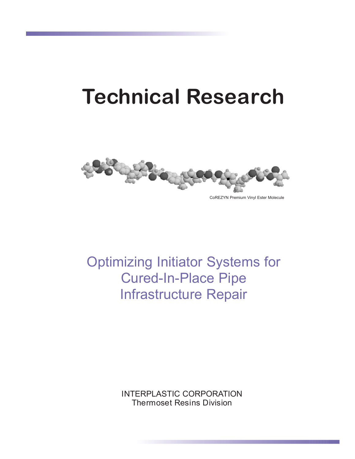# **Technical Research**



Optimizing Initiator Systems for

Cured-In-Place Pipe Infrastructure Repair

> INTERPLASTIC CORPORATION Thermoset Resins Division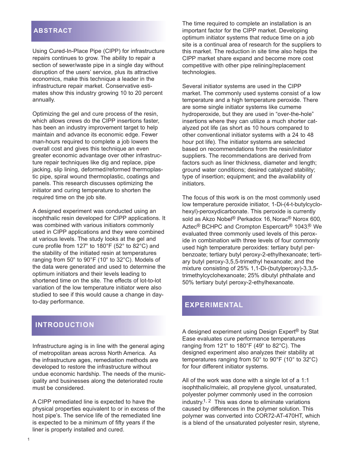#### **ABSTRACT**

Using Cured-In-Place Pipe (CIPP) for infrastructure repairs continues to grow. The ability to repair a section of sewer/waste pipe in a single day without disruption of the users' service, plus its attractive economics, make this technique a leader in the infrastructure repair market. Conservative estimates show this industry growing 10 to 20 percent annually.

Optimizing the gel and cure process of the resin, which allows crews do the CIPP insertions faster, has been an industry improvement target to help maintain and advance its economic edge. Fewer man-hours required to complete a job lowers the overall cost and gives this technique an even greater economic advantage over other infrastructure repair techniques like dig and replace, pipe jacking, slip lining, deformed/reformed thermoplastic pipe, spiral wound thermoplastic, coatings and panels. This research discusses optimizing the initiator and curing temperature to shorten the required time on the job site.

A designed experiment was conducted using an isophthalic resin developed for CIPP applications. It was combined with various initiators commonly used in CIPP applications and they were combined at various levels. The study looks at the gel and cure profile from 127° to 180°F (52° to 82°C) and the stability of the initiated resin at temperatures ranging from 50° to 90°F (10° to 32°C). Models of the data were generated and used to determine the optimum initiators and their levels leading to shortened time on the site. The effects of lot-to-lot variation of the low temperature initiator were also studied to see if this would cause a change in dayto-day performance.

## **INTRODUCTION**

Infrastructure aging is in line with the general aging of metropolitan areas across North America. As the infrastructure ages, remediation methods are developed to restore the infrastructure without undue economic hardship. The needs of the municipality and businesses along the deteriorated route must be considered.

A CIPP remediated line is expected to have the physical properties equivalent to or in excess of the host pipe's. The service life of the remediated line is expected to be a minimum of fifty years if the liner is properly installed and cured.

The time required to complete an installation is an important factor for the CIPP market. Developing optimum initiator systems that reduce time on a job site is a continual area of research for the suppliers to this market. The reduction in site time also helps the CIPP market share expand and become more cost competitive with other pipe relining/replacement technologies.

Several initiator systems are used in the CIPP market. The commonly used systems consist of a low temperature and a high temperature peroxide. There are some single initiator systems like cumeme hydroperoxide, but they are used in "over-the-hole" insertions where they can utilize a much shorter catalyzed pot life (as short as 10 hours compared to other conventional initiator systems with a 24 to 48 hour pot life). The initiator systems are selected based on recommendations from the resin/initiator suppliers. The recommendations are derived from factors such as liner thickness, diameter and length; ground water conditions; desired catalyzed stability; type of insertion; equipment; and the availability of initiators.

The focus of this work is on the most commonly used low temperature peroxide initiator, 1-Di-(4-t-butylcyclohexyl)-peroxydicarbonate. This peroxide is currently sold as Akzo Nobel® Perkadox 16, Norac® Norox 600, Aztec<sup>®</sup> BCHPC and Crompton Espercarb<sup>®</sup> 1043.<sup>®</sup> We evaluated three commonly used levels of this peroxide in combination with three levels of four commonly used high temperature peroxides: tertiary butyl perbenzoate; tertiary butyl peroxy-2-ethylhexanoate; tertiary butyl peroxy-3,5,5-trimethyl hexanoate; and the mixture consisting of 25% 1,1-Di-(butylperoxy)-3,3,5 trimethylcyclohexanoate; 25% dibutyl phthalate and 50% tertiary butyl peroxy-2-ethylhexanoate.

## **EXPERIMENTAL**

A designed experiment using Design Expert® by Stat Ease evaluates cure performance temperatures ranging from 121° to 180°F (49° to 82°C). The designed experiment also analyzes their stability at temperatures ranging from 50° to 90°F (10° to 32°C) for four different initiator systems.

All of the work was done with a single lot of a 1:1 isophthalic/maleic, all propylene glycol, unsaturated, polyester polymer commonly used in the corrosion industry.<sup>1, 2</sup> This was done to eliminate variations caused by differences in the polymer solution. This polymer was converted into COR72-AT-470HT, which is a blend of the unsaturated polyester resin, styrene,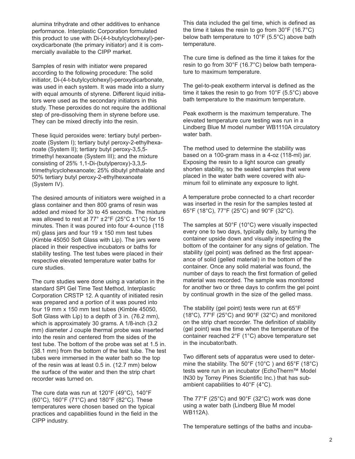alumina trihydrate and other additives to enhance performance. Interplastic Corporation formulated this product to use with Di-(4-t-butylcyclohexyl)-peroxydicarbonate (the primary initiator) and it is commercially available to the CIPP market.

Samples of resin with initiator were prepared according to the following procedure: The solid initiator, Di-(4-t-butylcyclohexyl)-peroxydicarbonate, was used in each system. It was made into a slurry with equal amounts of styrene. Different liquid initiators were used as the secondary initiators in this study. These peroxides do not require the additional step of pre-dissolving them in styrene before use. They can be mixed directly into the resin.

These liquid peroxides were: tertiary butyl perbenzoate (System I); tertiary butyl peroxy-2-ethylhexanoate (System II); tertiary butyl peroxy-3,5,5 trimethyl hexanoate (System III); and the mixture consisting of 25% 1,1-Di-(butylperoxy)-3,3,5 trimethylcyclohexanoate; 25% dibutyl phthalate and 50% tertiary butyl peroxy-2-ethylhexanoate (System IV).

The desired amounts of initiators were weighed in a glass container and then 800 grams of resin was added and mixed for 30 to 45 seconds. The mixture was allowed to rest at  $77^\circ \pm 2^\circ$ F (25°C  $\pm 1^\circ$ C) for 15 minutes. Then it was poured into four 4-ounce (118 ml) glass jars and four 19 x 150 mm test tubes (Kimble 45050 Soft Glass with Lip). The jars were placed in their respective incubators or baths for stability testing. The test tubes were placed in their respective elevated temperature water baths for cure studies.

The cure studies were done using a variation in the standard SPI Gel Time Test Method, Interplastic Corporation CRSTP 12. A quantity of initiated resin was prepared and a portion of it was poured into four 19 mm x 150 mm test tubes (Kimble 45050, Soft Glass with Lip) to a depth of 3 in. (76.2 mm), which is approximately 30 grams. A 1/8-inch (3.2) mm) diameter J couple thermal probe was inserted into the resin and centered from the sides of the test tube. The bottom of the probe was set at 1.5 in. (38.1 mm) from the bottom of the test tube. The test tubes were immersed in the water bath so the top of the resin was at least 0.5 in. (12.7 mm) below the surface of the water and then the strip chart recorder was turned on.

The cure data was run at 120°F (49°C), 140°F (60°C), 160°F (71°C) and 180°F (82°C). These temperatures were chosen based on the typical practices and capabilities found in the field in the CIPP industry.

This data included the gel time, which is defined as the time it takes the resin to go from 30°F (16.7°C) below bath temperature to 10°F (5.5°C) above bath temperature.

The cure time is defined as the time it takes for the resin to go from 30°F (16.7°C) below bath temperature to maximum temperature.

The gel-to-peak exotherm interval is defined as the time it takes the resin to go from  $10^{\circ}$ F (5.5 $^{\circ}$ C) above bath temperature to the maximum temperature.

Peak exotherm is the maximum temperature. The elevated temperature cure testing was run in a Lindberg Blue M model number WB1110A circulatory water bath.

The method used to determine the stability was based on a 100-gram mass in a 4-oz (118-ml) jar. Exposing the resin to a light source can greatly shorten stability, so the sealed samples that were placed in the water bath were covered with aluminum foil to eliminate any exposure to light.

A temperature probe connected to a chart recorder was inserted in the resin for the samples tested at 65°F (18°C), 77°F (25°C) and 90°F (32°C).

The samples at 50°F (10°C) were visually inspected every one to two days, typically daily, by turning the container upside down and visually inspecting the bottom of the container for any signs of gelation. The stability (gel point) was defined as the first appearance of solid (gelled material) in the bottom of the container. Once any solid material was found, the number of days to reach the first formation of gelled material was recorded. The sample was monitored for another two or three days to confirm the gel point by continual growth in the size of the gelled mass.

The stability (gel point) tests were run at 65°F (18°C),  $77^{\circ}F$  (25°C) and 90°F (32°C) and monitored on the strip chart recorder. The definition of stability (gel point) was the time when the temperature of the container reached 2°F (1°C) above temperature set in the incubator/bath.

Two different sets of apparatus were used to determine the stability. The 50°F (10°C ) and 65°F (18°C) tests were run in an incubator (EchoTherm™ Model IN30 by Torrey Pines Scientific Inc.) that has subambient capabilities to 40°F (4°C).

The 77°F (25°C) and 90°F (32°C) work was done using a water bath (Lindberg Blue M model WB112A).

The temperature settings of the baths and incuba-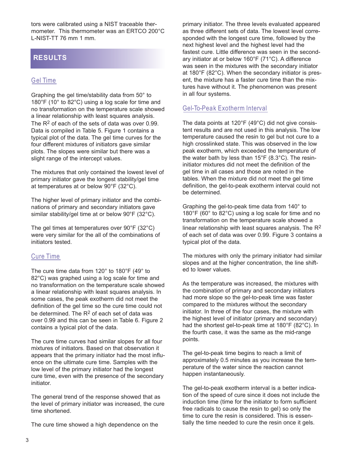tors were calibrated using a NIST traceable thermometer. This thermometer was an ERTCO 200°C L-NIST-TT 76 mm 1 mm.

#### **RESULTS**

#### Gel Time

Graphing the gel time/stability data from 50° to 180°F (10° to 82°C) using a log scale for time and no transformation on the temperature scale showed a linear relationship with least squares analysis. The  $R<sup>2</sup>$  of each of the sets of data was over 0.99. Data is compiled in Table 5. Figure 1 contains a typical plot of the data. The gel time curves for the four different mixtures of initiators gave similar plots. The slopes were similar but there was a slight range of the intercept values.

The mixtures that only contained the lowest level of primary initiator gave the longest stability/gel time at temperatures at or below 90°F (32°C).

The higher level of primary initiator and the combinations of primary and secondary initiators gave similar stability/gel time at or below 90°F (32°C).

The gel times at temperatures over 90°F (32°C) were very similar for the all of the combinations of initiators tested.

#### Cure Time

The cure time data from 120° to 180°F (49° to 82°C) was graphed using a log scale for time and no transformation on the temperature scale showed a linear relationship with least squares analysis. In some cases, the peak exotherm did not meet the definition of the gel time so the cure time could not be determined. The  $R^2$  of each set of data was over 0.99 and this can be seen in Table 6. Figure 2 contains a typical plot of the data.

The cure time curves had similar slopes for all four mixtures of initiators. Based on that observation it appears that the primary initiator had the most influence on the ultimate cure time. Samples with the low level of the primary initiator had the longest cure time, even with the presence of the secondary initiator.

The general trend of the response showed that as the level of primary initiator was increased, the cure time shortened.

The cure time showed a high dependence on the

primary initiator. The three levels evaluated appeared as three different sets of data. The lowest level corresponded with the longest cure time, followed by the next highest level and the highest level had the fastest cure. Little difference was seen in the secondary initiator at or below 160°F (71°C). A difference was seen in the mixtures with the secondary initiator at 180°F (82°C). When the secondary initiator is present, the mixture has a faster cure time than the mixtures have without it. The phenomenon was present in all four systems.

#### Gel-To-Peak Exotherm Interval

The data points at 120°F (49°C) did not give consistent results and are not used in this analysis. The low temperature caused the resin to gel but not cure to a high crosslinked state. This was observed in the low peak exotherm, which exceeded the temperature of the water bath by less than  $15^{\circ}F$  (8.3°C). The resininitiator mixtures did not meet the definition of the gel time in all cases and those are noted in the tables. When the mixture did not meet the gel time definition, the gel-to-peak exotherm interval could not be determined.

Graphing the gel-to-peak time data from 140° to 180°F (60° to 82°C) using a log scale for time and no transformation on the temperature scale showed a linear relationship with least squares analysis. The  $R^2$ of each set of data was over 0.99. Figure 3 contains a typical plot of the data.

The mixtures with only the primary initiator had similar slopes and at the higher concentration, the line shifted to lower values.

As the temperature was increased, the mixtures with the combination of primary and secondary initiators had more slope so the gel-to-peak time was faster compared to the mixtures without the secondary initiator. In three of the four cases, the mixture with the highest level of initiator (primary and secondary) had the shortest gel-to-peak time at 180°F (82°C). In the fourth case, it was the same as the mid-range points.

The gel-to-peak time begins to reach a limit of approximately 0.5 minutes as you increase the temperature of the water since the reaction cannot happen instantaneously.

The gel-to-peak exotherm interval is a better indication of the speed of cure since it does not include the induction time (time for the initiator to form sufficient free radicals to cause the resin to gel) so only the time to cure the resin is considered. This is essentially the time needed to cure the resin once it gels.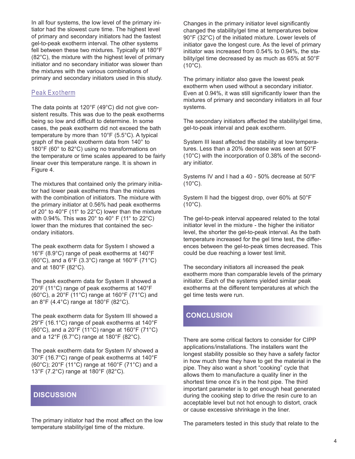In all four systems, the low level of the primary initiator had the slowest cure time. The highest level of primary and secondary initiators had the fastest gel-to-peak exotherm interval. The other systems fell between these two mixtures. Typically at 180°F (82°C), the mixture with the highest level of primary initiator and no secondary initiator was slower than the mixtures with the various combinations of primary and secondary initiators used in this study.

#### Peak Exotherm

The data points at 120°F (49°C) did not give consistent results. This was due to the peak exotherms being so low and difficult to determine. In some cases, the peak exotherm did not exceed the bath temperature by more than 10°F (5.5°C). A typical graph of the peak exotherm data from 140° to 180°F (60° to 82°C) using no transformations on the temperature or time scales appeared to be fairly linear over this temperature range. It is shown in Figure 4.

The mixtures that contained only the primary initiator had lower peak exotherms than the mixtures with the combination of initiators. The mixture with the primary initiator at 0.56% had peak exotherms of 20° to 40°F (11° to 22°C) lower than the mixture with 0.94%. This was 20° to 40° F (11° to 22°C) lower than the mixtures that contained the secondary initiators.

The peak exotherm data for System I showed a 16°F (8.9°C) range of peak exotherms at 140°F (60°C), and a 6°F (3.3°C) range at 160°F (71°C) and at 180°F (82°C).

The peak exotherm data for System II showed a 20°F (11°C) range of peak exotherms at 140°F (60°C), a 20°F (11°C) range at 160°F (71°C) and an 8°F (4.4°C) range at 180°F (82°C).

The peak exotherm data for System III showed a 29°F (16.1°C) range of peak exotherms at 140°F (60°C), and a 20°F (11°C) range at 160°F (71°C) and a 12°F (6.7°C) range at 180°F (82°C).

The peak exotherm data for System IV showed a 30°F (16.7°C) range of peak exotherms at 140°F (60°C); 20°F (11°C) range at 160°F (71°C) and a 13°F (7.2°C) range at 180°F (82°C).

## **DISCUSSION**

The primary initiator had the most affect on the low temperature stability/gel time of the mixture.

Changes in the primary initiator level significantly changed the stability/gel time at temperatures below 90°F (32°C) of the initiated mixture. Lower levels of initiator gave the longest cure. As the level of primary initiator was increased from 0.54% to 0.94%, the stability/gel time decreased by as much as 65% at 50°F  $(10^{\circ}C)$ .

The primary initiator also gave the lowest peak exotherm when used without a secondary initiator. Even at 0.94%, it was still significantly lower than the mixtures of primary and secondary initiators in all four systems.

The secondary initiators affected the stability/gel time, gel-to-peak interval and peak exotherm.

System III least affected the stability at low temperatures. Less than a 20% decrease was seen at 50°F (10°C) with the incorporation of 0.38% of the secondary initiator.

Systems IV and I had a 40 - 50% decrease at 50°F  $(10^{\circ}C)$ .

System II had the biggest drop, over 60% at 50°F  $(10^{\circ}C)$ .

The gel-to-peak interval appeared related to the total initiator level in the mixture - the higher the initiator level, the shorter the gel-to-peak interval. As the bath temperature increased for the gel time test, the differences between the gel-to-peak times decreased. This could be due reaching a lower test limit.

The secondary initiators all increased the peak exotherm more than comparable levels of the primary initiator. Each of the systems yielded similar peak exotherms at the different temperatures at which the gel time tests were run.

## **CONCLUSION**

There are some critical factors to consider for CIPP applications/installations. The installers want the longest stability possible so they have a safety factor in how much time they have to get the material in the pipe. They also want a short "cooking" cycle that allows them to manufacture a quality liner in the shortest time once it's in the host pipe. The third important parameter is to get enough heat generated during the cooking step to drive the resin cure to an acceptable level but not hot enough to distort, crack or cause excessive shrinkage in the liner.

The parameters tested in this study that relate to the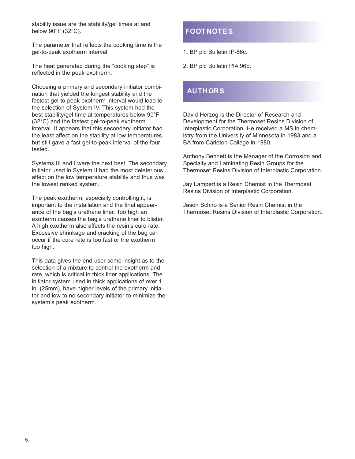stability issue are the stability/gel times at and below 90°F (32°C).

The parameter that reflects the cooking time is the gel-to-peak exotherm interval.

The heat generated during the "cooking step" is reflected in the peak exotherm.

Choosing a primary and secondary initiator combination that yielded the longest stability and the fastest gel-to-peak exotherm interval would lead to the selection of System IV. This system had the best stability/gel time at temperatures below 90°F (32°C) and the fastest gel-to-peak exotherm interval. It appears that this secondary initiator had the least affect on the stability at low temperatures but still gave a fast gel-to-peak interval of the four tested.

Systems III and I were the next best. The secondary initiator used in System II had the most deleterious affect on the low temperature stability and thus was the lowest ranked system.

The peak exotherm, especially controlling it, is important to the installation and the final appearance of the bag's urethane liner. Too high an exotherm causes the bag's urethane liner to blister. A high exotherm also affects the resin's cure rate. Excessive shrinkage and cracking of the bag can occur if the cure rate is too fast or the exotherm too high.

This data gives the end-user some insight as to the selection of a mixture to control the exotherm and rate, which is critical in thick liner applications. The initiator system used in thick applications of over 1 in. (25mm), have higher levels of the primary initiator and low to no secondary initiator to minimize the system's peak exotherm.

## **FOOT NOTES**

- 1. BP plc Bulletin IP-86c.
- 2. BP plc Bulletin PIA 96b.

## **AUTHORS**

David Herzog is the Director of Research and Development for the Thermoset Resins Division of Interplastic Corporation. He received a MS in chemistry from the University of Minnesota in 1983 and a BA from Carleton College in 1980.

Anthony Bennett is the Manager of the Corrosion and Specialty and Laminating Resin Groups for the Thermoset Resins Division of Interplastic Corporation.

Jay Lampert is a Resin Chemist in the Thermoset Resins Division of Interplastic Corporation.

Jason Schiro is a Senior Resin Chemist in the Thermoset Resins Division of Interplastic Corporation.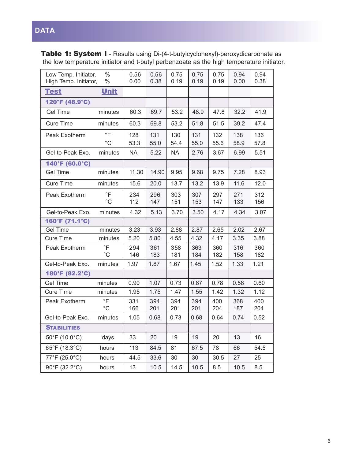# **DATA**

| Low Temp. Initiator,<br>High Temp. Initiator, | $\frac{0}{0}$<br>$\frac{0}{0}$ | 0.56<br>0.00 | 0.56<br>0.38 | 0.75<br>0.19 | 0.75<br>0.19 | 0.75<br>0.19 | 0.94<br>0.00 | 0.94<br>0.38 |
|-----------------------------------------------|--------------------------------|--------------|--------------|--------------|--------------|--------------|--------------|--------------|
| <b>Test</b>                                   | Unit                           |              |              |              |              |              |              |              |
| 120°F (48.9°C)                                |                                |              |              |              |              |              |              |              |
| <b>Gel Time</b>                               | minutes                        | 60.3         | 69.7         | 53.2         | 48.9         | 47.8         | 32.2         | 41.9         |
| <b>Cure Time</b>                              | minutes                        | 60.3         | 69.8         | 53.2         | 51.8         | 51.5         | 39.2         | 47.4         |
| Peak Exotherm                                 | $\overline{F}$<br>$^{\circ}C$  | 128<br>53.3  | 131<br>55.0  | 130<br>54.4  | 131<br>55.0  | 132<br>55.6  | 138<br>58.9  | 136<br>57.8  |
| Gel-to-Peak Exo.                              | minutes                        | <b>NA</b>    | 5.22         | <b>NA</b>    | 2.76         | 3.67         | 6.99         | 5.51         |
| 140°F (60.0°C)                                |                                |              |              |              |              |              |              |              |
| <b>Gel Time</b>                               | minutes                        | 11.30        | 14.90        | 9.95         | 9.68         | 9.75         | 7.28         | 8.93         |
| <b>Cure Time</b>                              | minutes                        | 15.6         | 20.0         | 13.7         | 13.2         | 13.9         | 11.6         | 12.0         |
| Peak Exotherm                                 | $\circ$ F<br>$^{\circ}C$       | 234<br>112   | 296<br>147   | 303<br>151   | 307<br>153   | 297<br>147   | 271<br>133   | 312<br>156   |
| Gel-to-Peak Exo.                              | minutes                        | 4.32         | 5.13         | 3.70         | 3.50         | 4.17         | 4.34         | 3.07         |
| 160°F (71.1°C)                                |                                |              |              |              |              |              |              |              |
| <b>Gel Time</b>                               | minutes                        | 3.23         | 3.93         | 2.88         | 2.87         | 2.65         | 2.02         | 2.67         |
| <b>Cure Time</b>                              | minutes                        | 5.20         | 5.80         | 4.55         | 4.32         | 4.17         | 3.35         | 3.88         |
| Peak Exotherm                                 | $\overline{F}$<br>$^{\circ}C$  | 294<br>146   | 361<br>183   | 358<br>181   | 363<br>184   | 360<br>182   | 316<br>158   | 360<br>182   |
| Gel-to-Peak Exo.                              | minutes                        | 1.97         | 1.87         | 1.67         | 1.45         | 1.52         | 1.33         | 1.21         |
| 180°F (82.2°C)                                |                                |              |              |              |              |              |              |              |
| <b>Gel Time</b>                               | minutes                        | 0.90         | 1.07         | 0.73         | 0.87         | 0.78         | 0.58         | 0.60         |
| <b>Cure Time</b>                              | minutes                        | 1.95         | 1.75         | 1.47         | 1.55         | 1.42         | 1.32         | 1.12         |
| Peak Exotherm                                 | $\overline{F}$<br>$^{\circ}C$  | 331<br>166   | 394<br>201   | 394<br>201   | 394<br>201   | 400<br>204   | 368<br>187   | 400<br>204   |
| Gel-to-Peak Exo.                              | minutes                        | 1.05         | 0.68         | 0.73         | 0.68         | 0.64         | 0.74         | 0.52         |
| <b>STABILITIES</b>                            |                                |              |              |              |              |              |              |              |
| 50°F (10.0°C)                                 | days                           | 33           | 20           | 19           | 19           | 20           | 13           | 16           |
| 65°F (18.3°C)                                 | hours                          | 113          | 84.5         | 81           | 67.5         | 78           | 66           | 54.5         |
| 77°F (25.0°C)                                 | hours                          | 44.5         | 33.6         | 30           | 30           | 30.5         | 27           | 25           |
| 90°F (32.2°C)                                 | hours                          | 13           | 10.5         | 14.5         | 10.5         | 8.5          | 10.5         | 8.5          |

Table 1: System I - Results using Di-(4-t-butylcyclohexyl)-peroxydicarbonate as the low temperature initiator and t-butyl perbenzoate as the high temperature initiator.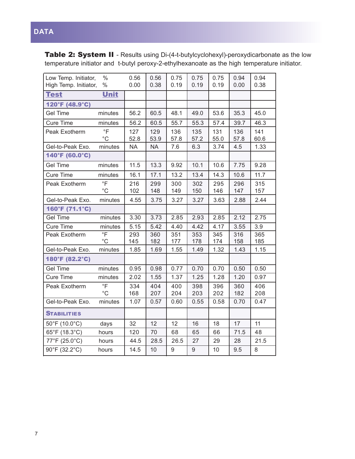# **DATA**

Table 2: System II - Results using Di-(4-t-butylcyclohexyl)-peroxydicarbonate as the low temperature initiator and t-butyl peroxy-2-ethylhexanoate as the high temperature initiator.

| Low Temp. Initiator,<br>High Temp. Initiator, | $\frac{0}{0}$<br>$\%$                    | 0.56<br>0.00 | 0.56<br>0.38 | 0.75<br>0.19 | 0.75<br>0.19 | 0.75<br>0.19 | 0.94<br>0.00 | 0.94<br>0.38 |
|-----------------------------------------------|------------------------------------------|--------------|--------------|--------------|--------------|--------------|--------------|--------------|
| <b>Test</b>                                   | <b>Unit</b>                              |              |              |              |              |              |              |              |
| 120°F (48.9°C)                                |                                          |              |              |              |              |              |              |              |
| <b>Gel Time</b>                               | minutes                                  | 56.2         | 60.5         | 48.1         | 49.0         | 53.6         | 35.3         | 45.0         |
| <b>Cure Time</b>                              | minutes                                  | 56.2         | 60.5         | 55.7         | 55.3         | 57.4         | 39.7         | 46.3         |
| Peak Exotherm                                 | $\circ$ F<br>$^{\circ}C$                 | 127<br>52.8  | 129<br>53.9  | 136<br>57.8  | 135<br>57.2  | 131<br>55.0  | 136<br>57.8  | 141<br>60.6  |
| Gel-to-Peak Exo.                              | minutes                                  | <b>NA</b>    | <b>NA</b>    | 7.6          | 6.3          | 3.74         | 4.5          | 1.33         |
| 140°F (60.0°C)                                |                                          |              |              |              |              |              |              |              |
| <b>Gel Time</b>                               | minutes                                  | 11.5         | 13.3         | 9.92         | 10.1         | 10.6         | 7.75         | 9.28         |
| Cure Time                                     | minutes                                  | 16.1         | 17.1         | 13.2         | 13.4         | 14.3         | 10.6         | 11.7         |
| Peak Exotherm                                 | $\circ$ F<br>$^{\circ}C$                 | 216<br>102   | 299<br>148   | 300<br>149   | 302<br>150   | 295<br>146   | 296<br>147   | 315<br>157   |
| Gel-to-Peak Exo.                              | minutes                                  | 4.55         | 3.75         | 3.27         | 3.27         | 3.63         | 2.88         | 2.44         |
| 160°F (71.1°C)                                |                                          |              |              |              |              |              |              |              |
| <b>Gel Time</b>                               | minutes                                  | 3.30         | 3.73         | 2.85         | 2.93         | 2.85         | 2.12         | 2.75         |
| <b>Cure Time</b>                              | minutes                                  | 5.15         | 5.42         | 4.40         | 4.42         | 4.17         | 3.55         | 3.9          |
| Peak Exotherm                                 | $\overline{\overline{F}}$<br>$^{\circ}C$ | 293<br>145   | 360<br>182   | 351<br>177   | 353<br>178   | 345<br>174   | 316<br>158   | 365<br>185   |
| Gel-to-Peak Exo.                              | minutes                                  | 1.85         | 1.69         | 1.55         | 1.49         | 1.32         | 1.43         | 1.15         |
| 180°F (82.2°C)                                |                                          |              |              |              |              |              |              |              |
| <b>Gel Time</b>                               | minutes                                  | 0.95         | 0.98         | 0.77         | 0.70         | 0.70         | 0.50         | 0.50         |
| <b>Cure Time</b>                              | minutes                                  | 2.02         | 1.55         | 1.37         | 1.25         | 1.28         | 1.20         | 0.97         |
| Peak Exotherm                                 | $\overline{F}$<br>$^{\circ}C$            | 334<br>168   | 404<br>207   | 400<br>204   | 398<br>203   | 396<br>202   | 360<br>182   | 406<br>208   |
| Gel-to-Peak Exo.                              | minutes                                  | 1.07         | 0.57         | 0.60         | 0.55         | 0.58         | 0.70         | 0.47         |
| <b>STABILITIES</b>                            |                                          |              |              |              |              |              |              |              |
| $50^{\circ}$ F (10.0 $^{\circ}$ C)            | days                                     | 32           | 12           | 12           | 16           | 18           | 17           | 11           |
| 65°F (18.3°C)                                 | hours                                    | 120          | 70           | 68           | 65           | 66           | 71.5         | 48           |
| 77°F (25.0°C)                                 | hours                                    | 44.5         | 28.5         | 26.5         | 27           | 29           | 28           | 21.5         |
| 90°F (32.2°C)                                 | hours                                    | 14.5         | 10           | 9            | 9            | 10           | 9.5          | 8            |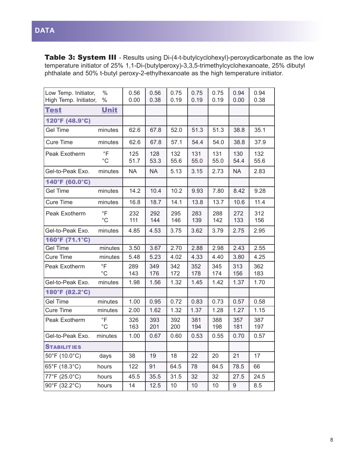## **DATA**

Table 3: System III - Results using Di-(4-t-butylcyclohexyl)-peroxydicarbonate as the low temperature initiator of 25% 1,1-Di-(butylperoxy)-3,3,5-trimethylcyclohexanoate, 25% dibutyl phthalate and 50% t-butyl peroxy-2-ethylhexanoate as the high temperature initiator.

| Low Temp. Initiator,<br>High Temp. Initiator, | $\%$<br>$\%$             | 0.56<br>0.00 | 0.56<br>0.38 | 0.75<br>0.19 | 0.75<br>0.19 | 0.75<br>0.19 | 0.94<br>0.00 | 0.94<br>0.38 |
|-----------------------------------------------|--------------------------|--------------|--------------|--------------|--------------|--------------|--------------|--------------|
| <b>Test</b>                                   | <b>Unit</b>              |              |              |              |              |              |              |              |
| 120°F (48.9°C)                                |                          |              |              |              |              |              |              |              |
| <b>Gel Time</b>                               | minutes                  | 62.6         | 67.8         | 52.0         | 51.3         | 51.3         | 38.8         | 35.1         |
| <b>Cure Time</b>                              | minutes                  | 62.6         | 67.8         | 57.1         | 54.4         | 54.0         | 38.8         | 37.9         |
| Peak Exotherm                                 | $\circ$ F<br>$^{\circ}C$ | 125<br>51.7  | 128<br>53.3  | 132<br>55.6  | 131<br>55.0  | 131<br>55.0  | 130<br>54.4  | 132<br>55.6  |
| Gel-to-Peak Exo.                              | minutes                  | <b>NA</b>    | <b>NA</b>    | 5.13         | 3.15         | 2.73         | <b>NA</b>    | 2.83         |
| 140°F (60.0°C)                                |                          |              |              |              |              |              |              |              |
| <b>Gel Time</b>                               | minutes                  | 14.2         | 10.4         | 10.2         | 9.93         | 7.80         | 8.42         | 9.28         |
| <b>Cure Time</b>                              | minutes                  | 16.8         | 18.7         | 14.1         | 13.8         | 13.7         | 10.6         | 11.4         |
| Peak Exotherm                                 | $\circ$ F<br>$^{\circ}C$ | 232<br>111   | 292<br>144   | 295<br>146   | 283<br>139   | 288<br>142   | 272<br>133   | 312<br>156   |
| Gel-to-Peak Exo.                              | minutes                  | 4.85         | 4.53         | 3.75         | 3.62         | 3.79         | 2.75         | 2.95         |
| 160°F (71.1°C)                                |                          |              |              |              |              |              |              |              |
| <b>Gel Time</b>                               | minutes                  | 3.50         | 3.67         | 2.70         | 2.88         | 2.98         | 2.43         | 2.55         |
| Cure Time                                     | minutes                  | 5.48         | 5.23         | 4.02         | 4.33         | 4.40         | 3.80         | 4.25         |
| Peak Exotherm                                 | $\circ$ F<br>$^{\circ}C$ | 289<br>143   | 349<br>176   | 342<br>172   | 352<br>178   | 345<br>174   | 313<br>156   | 362<br>183   |
| Gel-to-Peak Exo.                              | minutes                  | 1.98         | 1.56         | 1.32         | 1.45         | 1.42         | 1.37         | 1.70         |
| 180°F (82.2°C)                                |                          |              |              |              |              |              |              |              |
| <b>Gel Time</b>                               | minutes                  | 1.00         | 0.95         | 0.72         | 0.83         | 0.73         | 0.57         | 0.58         |
| <b>Cure Time</b>                              | minutes                  | 2.00         | 1.62         | 1.32         | 1.37         | 1.28         | 1.27         | 1.15         |
| Peak Exotherm                                 | $\circ$ F<br>$^{\circ}C$ | 326<br>163   | 393<br>201   | 392<br>200   | 381<br>194   | 388<br>198   | 357<br>181   | 387<br>197   |
| Gel-to-Peak Exo.                              | minutes                  | 1.00         | 0.67         | 0.60         | 0.53         | 0.55         | 0.70         | 0.57         |
| <b>STABILITIES</b>                            |                          |              |              |              |              |              |              |              |
| 50°F (10.0°C)                                 | days                     | 38           | 19           | 18           | 22           | 20           | 21           | 17           |
| 65°F (18.3°C)                                 | hours                    | 122          | 91           | 64.5         | 78           | 84.5         | 78.5         | 66           |
| 77°F (25.0°C)                                 | hours                    | 45.5         | 35.5         | 31.5         | 32           | 32           | 27.5         | 24.5         |
| 90°F (32.2°C)                                 | hours                    | 14           | 12.5         | 10           | 10           | 10           | 9            | 8.5          |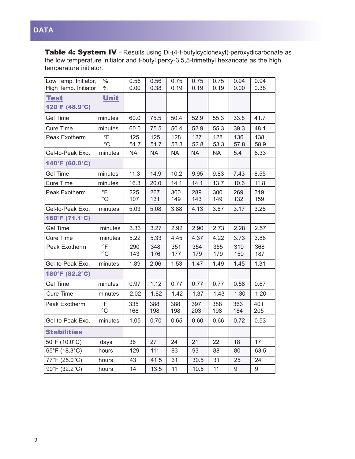Table 4: System IV - Results using Di-(4-t-butylcyclohexyl)-peroxydicarbonate as the low temperature initiator and t-butyl perxy-3,5,5-trimethyl hexanoate as the high temperature initiator.

| Low Temp. Initiator,<br>High Temp. Initiator | $\frac{0}{0}$<br>$\%$                    | 0.56<br>0.00 | 0.56<br>0.38 | 0.75<br>0.19 | 0.75<br>0.19 | 0.75<br>0.19 | 0.94<br>0.00 | 0.94<br>0.38 |
|----------------------------------------------|------------------------------------------|--------------|--------------|--------------|--------------|--------------|--------------|--------------|
| <b>Test</b><br>120°F (48.9°C)                | Unit                                     |              |              |              |              |              |              |              |
| <b>Gel Time</b>                              | minutes                                  | 60.0         | 75.5         | 50.4         | 52.9         | 55.3         | 33.8         | 41.7         |
| <b>Cure Time</b>                             | minutes                                  | 60.0         | 75.5         | 50.4         | 52.9         | 55.3         | 39.3         | 48.1         |
| Peak Exotherm                                | $\circ$ F<br>$^{\circ}C$                 | 125<br>51.7  | 125<br>51.7  | 128<br>53.3  | 127<br>52.8  | 128<br>53.3  | 136<br>57.8  | 138<br>58.9  |
| Gel-to-Peak Exo.                             | minutes                                  | <b>NA</b>    | <b>NA</b>    | <b>NA</b>    | <b>NA</b>    | <b>NA</b>    | 5.4          | 6.33         |
| 140°F (60.0°C)                               |                                          |              |              |              |              |              |              |              |
| <b>Gel Time</b>                              | minutes                                  | 11.3         | 14.9         | 10.2         | 9.95         | 9.83         | 7.43         | 8.55         |
| Cure Time                                    | minutes                                  | 16.3         | 20.0         | 14.1         | 14.1         | 13.7         | 10.6         | 11.8         |
| Peak Exotherm                                | $\circ$ F<br>$^{\circ}C$                 | 225<br>107   | 267<br>131   | 300<br>149   | 289<br>143   | 300<br>149   | 269<br>132   | 319<br>159   |
| Gel-to-Peak Exo.                             | minutes                                  | 5.03         | 5.08         | 3.88         | 4.13         | 3.87         | 3.17         | 3.25         |
| 160°F (71.1°C)                               |                                          |              |              |              |              |              |              |              |
| <b>Gel Time</b>                              | minutes                                  | 3.33         | 3.27         | 2.92         | 2.90         | 2.73         | 2.28         | 2.57         |
| <b>Cure Time</b>                             | minutes                                  | 5.22         | 5.33         | 4.45         | 4.37         | 4.22         | 3.73         | 3.88         |
| Peak Exotherm                                | $\overline{\overline{F}}$<br>$^{\circ}C$ | 290<br>143   | 348<br>176   | 351<br>177   | 354<br>179   | 355<br>179   | 319<br>159   | 368<br>187   |
| Gel-to-Peak Exo.                             | minutes                                  | 1.89         | 2.06         | 1.53         | 1.47         | 1.49         | 1.45         | 1.31         |
| 180°F (82.2°C)                               |                                          |              |              |              |              |              |              |              |
| <b>Gel Time</b>                              | minutes                                  | 0.97         | 1.12         | 0.77         | 0.77         | 0.77         | 0.58         | 0.67         |
| <b>Cure Time</b>                             | minutes                                  | 2.02         | 1.82         | 1.42         | 1.37         | 1.43         | 1.30         | 1.20         |
| Peak Exotherm                                | $\circ$ F<br>$^{\circ}C$                 | 335<br>168   | 388<br>198   | 388<br>198   | 397<br>203   | 388<br>198   | 363<br>184   | 401<br>205   |
| Gel-to-Peak Exo.                             | minutes                                  | 1.05         | 0.70         | 0.65         | 0.60         | 0.66         | 0.72         | 0.53         |
| <b>Stabilities</b>                           |                                          |              |              |              |              |              |              |              |
| 50°F (10.0°C)                                | days                                     | 36           | 27           | 24           | 21           | 22           | 18           | 17           |
| $65^{\circ}$ F (18.3 $^{\circ}$ C)           | hours                                    | 129          | 111          | 83           | 93           | 88           | 80           | 63.5         |
| 77°F (25.0°C)                                | hours                                    | 43           | 41.5         | 31           | 30.5         | 31           | 25           | 24           |
| 90°F (32.2°C)                                | hours                                    | 14           | 13.5         | 11           | 10.5         | 11           | 9            | 9            |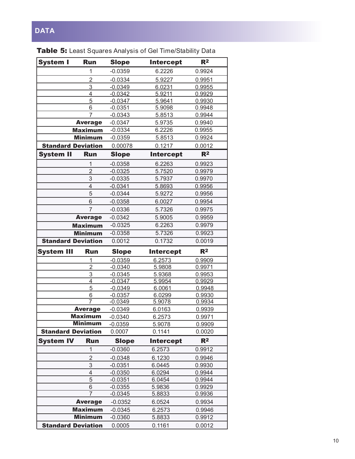| <b>System I</b><br><b>Run</b>  | <b>Slope</b> | <b>Intercept</b> | R <sup>2</sup> |
|--------------------------------|--------------|------------------|----------------|
| 1                              | $-0.0359$    | 6.2226           | 0.9924         |
| $\overline{2}$                 | $-0.0334$    | 5.9227           | 0.9951         |
| 3                              | $-0.0349$    | 6.0231           | 0.9955         |
| 4                              | $-0.0342$    | 5.9211           | 0.9929         |
| 5                              | $-0.0347$    | 5.9641           | 0.9930         |
| 6                              | $-0.0351$    | 5.9098           | 0.9948         |
| $\overline{7}$                 | $-0.0343$    | 5.8513           | 0.9944         |
| <b>Average</b>                 | $-0.0347$    | 5.9735           | 0.9940         |
| <b>Maximum</b>                 | $-0.0334$    | 6.2226           | 0.9955         |
| <b>Minimum</b>                 | $-0.0359$    | 5.8513           | 0.9924         |
| <b>Standard Deviation</b>      | 0.00078      | 0.1217           | 0.0012         |
| <b>System II</b><br><b>Run</b> | <b>Slope</b> | <b>Intercept</b> | R <sup>2</sup> |
| 1                              | $-0.0358$    | 6.2263           | 0.9923         |
| $\overline{2}$                 | $-0.0325$    | 5.7520           | 0.9979         |
| 3                              | $-0.0335$    | 5.7937           | 0.9970         |
| 4                              | $-0.0341$    | 5.8693           | 0.9956         |
| 5                              | $-0.0344$    | 5.9272           | 0.9956         |
| 6                              | $-0.0358$    | 6.0027           | 0.9954         |
| $\overline{7}$                 | $-0.0336$    | 5.7326           | 0.9975         |
| <b>Average</b>                 | $-0.0342$    | 5.9005           | 0.9959         |
| <b>Maximum</b>                 | $-0.0325$    | 6.2263           | 0.9979         |
| <b>Minimum</b>                 | $-0.0358$    | 5.7326           | 0.9923         |
| <b>Standard Deviation</b>      | 0.0012       | 0.1732           | 0.0019         |
| System III<br><b>Run</b>       | <b>Slope</b> | <b>Intercept</b> | R <sup>2</sup> |
| 1                              | $-0.0359$    | 6.2573           | 0.9909         |
| $\overline{2}$                 | $-0.0340$    | 5.9808           | 0.9971         |
| 3                              | $-0.0345$    | 5.9368           | 0.9953         |
| $\overline{4}$                 | $-0.0347$    | 5.9954           | 0.9929         |
| 5                              | $-0.0349$    | 6.0061           | 0.9948         |
| 6                              | $-0.0357$    | 6.0299           | 0.9930         |
| $\overline{7}$                 | $-0.0349$    | 5.9078           | 0.9934         |
| <b>Average</b>                 | $-0.0349$    | 6.0163           | 0.9939         |
| <b>Maximum</b>                 | $-0.0340$    | 6.2573           | 0.9971         |
| <b>Minimum</b>                 | $-0.0359$    | 5.9078           | 0.9909         |
| <b>Standard Deviation</b>      | 0.0007       | 0.1141           | 0.0020         |
| <b>System IV</b><br><b>Run</b> | <b>Slope</b> | <b>Intercept</b> | R <sup>2</sup> |
| 1                              | $-0.0360$    | 6.2573           | 0.9912         |
| $\overline{2}$                 | $-0.0348$    | 6.1230           | 0.9946         |
| 3                              | $-0.0351$    | 6.0445           | 0.9930         |
| 4                              | $-0.0350$    | 6.0294           | 0.9944         |
| $\overline{5}$                 | $-0.0351$    | 6.0454           | 0.9944         |
| 6                              | $-0.0355$    | 5.9836           | 0.9929         |
| $\overline{7}$                 | $-0.0345$    | <u>5.8833</u>    | 0.9936         |
| <b>Average</b>                 | $-0.0352$    | 6.0524           | 0.9934         |
| <b>Maximum</b>                 | $-0.0345$    | 6.2573           | 0.9946         |
|                                |              |                  |                |
| <b>Minimum</b>                 | $-0.0360$    | 5.8833           | 0.9912         |

Table 5: Least Squares Analysis of Gel Time/Stability Data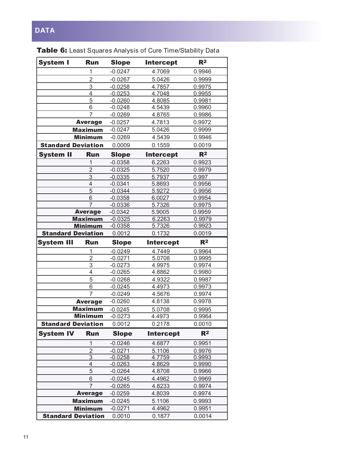| <b>System I</b>           | <b>Run</b>              | <b>Slope</b> | <b>Intercept</b> | R <sup>2</sup> |
|---------------------------|-------------------------|--------------|------------------|----------------|
|                           | 1                       | $-0.0247$    | 4.7069           | 0.9946         |
|                           | $\overline{2}$          | $-0.0267$    | 5.0426           | 0.9999         |
|                           | 3                       | $-0.0258$    | 4.7857           | 0.9975         |
|                           | 4                       | $-0.0253$    | 4.7048           | 0.9955         |
|                           | 5                       | $-0.0260$    | 4.8085           | 0.9981         |
|                           | 6                       | $-0.0248$    | 4.5439           | 0.9960         |
|                           | $\overline{7}$          | $-0.0269$    | 4.8765           | 0.9986         |
|                           | <b>Average</b>          | $-0.0257$    | 4.7813           | 0.9972         |
|                           | <b>Maximum</b>          | $-0.0247$    | 5.0426           | 0.9999         |
|                           | <b>Minimum</b>          | $-0.0269$    | 4.5439           | 0.9946         |
| <b>Standard Deviation</b> |                         | 0.0009       | 0.1559           | 0.0019         |
| <b>System II</b>          | <b>Run</b>              | <b>Slope</b> | <b>Intercept</b> | R <sup>2</sup> |
|                           | 1                       | $-0.0358$    | 6.2263           | 0.9923         |
|                           | $\overline{2}$          | $-0.0325$    | 5.7520           | 0.9979         |
|                           | $\overline{3}$          | $-0.0335$    | 5.7937           | 0.997          |
|                           | $\overline{\mathbf{4}}$ | $-0.0341$    | 5.8693           | 0.9956         |
|                           | $\overline{5}$          | $-0.0344$    | 5.9272           | 0.9956         |
|                           | 6                       | $-0.0358$    | 6.0027           | 0.9954         |
|                           | $\overline{7}$          | $-0.0336$    | 5.7326           | 0.9975         |
|                           | <b>Average</b>          | $-0.0342$    | 5.9005           | 0.9959         |
|                           | <b>Maximum</b>          | $-0.0325$    | 6.2263           | 0.9979         |
|                           | <b>Minimum</b>          | $-0.0358$    | 5.7326           | 0.9923         |
| <b>Standard Deviation</b> |                         | 0.0012       | 0.1732           | 0.0019         |
| <b>System III</b>         | <b>Run</b>              | <b>Slope</b> | <b>Intercept</b> | R <sup>2</sup> |
|                           | 1                       | $-0.0249$    | 4.7449           | 0.9964         |
|                           | $\overline{2}$          | $-0.0271$    | 5.0708           | 0.9995         |
|                           | $\overline{3}$          | $-0.0273$    | 4.9975           | 0.9974         |
|                           | 4                       | $-0.0265$    | 4.8862           | 0.9980         |
|                           | 5                       | $-0.0268$    | 4.9322           | 0.9987         |
|                           | 6                       | $-0.0245$    | 4.4973           | 0.9973         |
|                           | $\overline{7}$          | $-0.0249$    | 4.5676           | 0.9974         |
|                           | <b>Average</b>          | $-0.0260$    | 4.8138           | 0.9978         |
|                           | <b>Maximum</b>          | $-0.0245$    | 5.0708           | 0.9995         |
|                           | <b>Minimum</b>          | $-0.0273$    | 4.4973           | 0.9964         |
| <b>Standard Deviation</b> |                         | 0.0012       | 0.2178           | 0.0010         |
| <b>System IV</b>          | <b>Run</b>              | <b>Slope</b> | <b>Intercept</b> | R <sup>2</sup> |
|                           | 1                       | $-0.0246$    | 4.6877           | 0.9951         |
|                           | $\frac{2}{3}$           | $-0.0271$    | 5.1106           | 0.9976         |
|                           |                         | $-0.0258$    | 4.7759           | 0.9993         |
|                           | $\overline{4}$          | $-0.0263$    | 4.8629           | 0.9990         |
|                           | 5                       | $-0.0264$    | 4.8708           | 0.9966         |
|                           | 6                       | $-0.0245$    | 4.4962           | 0.9969         |
|                           |                         |              |                  |                |
|                           | $\overline{7}$          | $-0.0265$    | 4.8233           | 0.9974         |
|                           | <b>Average</b>          | $-0.0259$    | 4.8039           | 0.9974         |
|                           | <b>Maximum</b>          | $-0.0245$    | 5.1106           | 0.9993         |

**Standard Deviation** 0.0010 0.1877 0.0014

#### Table 6: Least Squares Analysis of Cure Time/Stability Data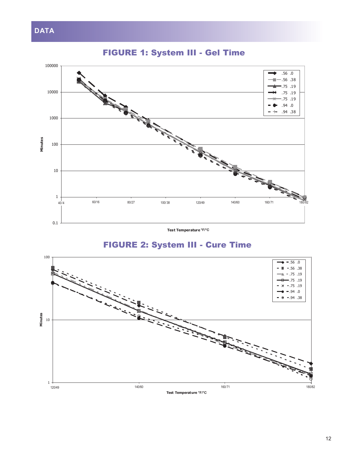#### 100000 .56 .0  $-.56$  .38 g, .75 .19 10000 .75 .19 .75 .19 .94 .0  $\!+\!$ .94 .38  $\blacksquare$ 1000 **Minutes** 100 10  $\frac{1}{40/4}$ 40/4 60/16 60/16 80/27 100/38 120/49 140/60 160/71 180/82  $\frac{10}{4}$  60/16 80/27 80/27 100/38 120/49 140/60 160/71 180/82 0.1

# FIGURE 1: System III - Gel Time

**Test Temperature °F/°C**

## FIGURE 2: System III - Cure Time

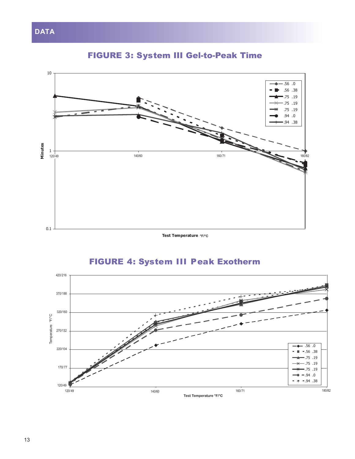

FIGURE 3: System III Gel-to-Peak Time

**Test Temperature °F/°C**

# FIGURE 4: System III Peak Exotherm